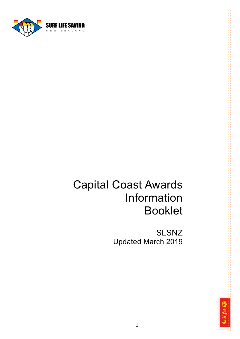

# Capital Coast Awards Information Booklet

SLSNZ Updated March 2019

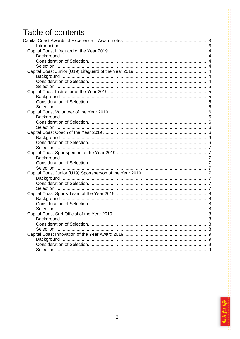# Table of contents

| Selection  |  |
|------------|--|
|            |  |
| Background |  |
|            |  |
|            |  |

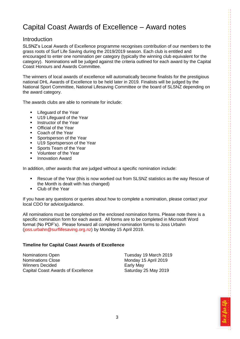### <span id="page-2-0"></span>Capital Coast Awards of Excellence – Award notes

### <span id="page-2-1"></span>Introduction

SLSNZ's Local Awards of Excellence programme recognises contribution of our members to the grass roots of Surf Life Saving during the 2019/2019 season. Each club is entitled and encouraged to enter one nomination per category (typically the winning club equivalent for the category). Nominations will be judged against the criteria outlined for each award by the Capital Coast Honours and Awards Committee.

The winners of local awards of excellence will automatically become finalists for the prestigious national DHL Awards of Excellence to be held later in 2019. Finalists will be judged by the National Sport Committee, National Lifesaving Committee or the board of SLSNZ depending on the award category.

The awards clubs are able to nominate for include:

- **Example 2** Lifeguard of the Year
- U19 Lifeguard of the Year
- $\blacksquare$  Instructor of the Year
- **Official of the Year**
- Coach of the Year<br>• Sportsperson of the
- Sportsperson of the Year
- **U19 Sportsperson of the Year**
- Sports Team of the Year
- **•** Volunteer of the Year
- Innovation Award

In addition, other awards that are judged without a specific nomination include:

- Rescue of the Year (this is now worked out from SLSNZ statistics as the way Rescue of the Month is dealt with has changed)
- **Club of the Year**

If you have any questions or queries about how to complete a nomination, please contact your local CDO for advice/guidance.

All nominations must be completed on the enclosed nomination forms. Please note there is a specific nomination form for each award. All forms are to be completed in Microsoft Word format (No PDF's). Please forward all completed nomination forms to Joss Urbahn (joss.urbahn@surflifesaving.org.nz) by Monday 15 April 2019.

#### **Timeline for Capital Coast Awards of Excellence**

Nominations Open Tuesday 19 March 2019 Nominations Close Monday 15 April 2019 Winners Decided **Early May** Capital Coast Awards of Excellence Saturday 25 May 2019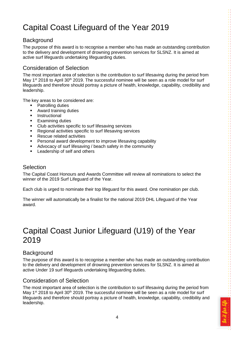# <span id="page-3-0"></span>Capital Coast Lifeguard of the Year 2019

### <span id="page-3-1"></span>**Background**

The purpose of this award is to recognise a member who has made an outstanding contribution to the delivery and development of drowning prevention services for SLSNZ. It is aimed at active surf lifeguards undertaking lifeguarding duties.

### <span id="page-3-2"></span>Consideration of Selection

The most important area of selection is the contribution to surf lifesaving during the period from May  $1<sup>st</sup>$  2018 to April 30<sup>th</sup> 2019. The successful nominee will be seen as a role model for surf lifeguards and therefore should portray a picture of health, knowledge, capability, credibility and leadership.

The key areas to be considered are:

- Patrolling duties
- **Award training duties**
- **Instructional**
- **Examining duties**
- **EXECULE ACTLUM** Club activities specific to surf lifesaving services
- **Regional activities specific to surf lifesaving services**
- Rescue related activities
- Personal award development to improve lifesaving capability
- Advocacy of surf lifesaving / beach safety in the community
- **Leadership of self and others**

#### <span id="page-3-3"></span>Selection

The Capital Coast Honours and Awards Committee will review all nominations to select the winner of the 2019 Surf Lifeguard of the Year.

Each club is urged to nominate their top lifeguard for this award. One nomination per club.

<span id="page-3-4"></span>The winner will automatically be a finalist for the national 2019 DHL Lifeguard of the Year award.

### Capital Coast Junior Lifeguard (U19) of the Year 2019

### <span id="page-3-5"></span>**Background**

The purpose of this award is to recognise a member who has made an outstanding contribution to the delivery and development of drowning prevention services for SLSNZ. It is aimed at active Under 19 surf lifeguards undertaking lifeguarding duties.

### <span id="page-3-6"></span>Consideration of Selection

The most important area of selection is the contribution to surf lifesaving during the period from May 1<sup>st</sup> 2018 to April 30<sup>th</sup> 2019. The successful nominee will be seen as a role model for surf lifeguards and therefore should portray a picture of health, knowledge, capability, credibility and leadership.

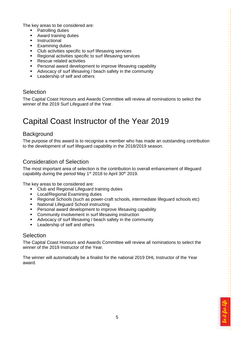The key areas to be considered are:

- Patrolling duties
- **Award training duties**
- **Instructional**
- **Examining duties**
- **Club activities specific to surf lifesaving services**
- **Regional activities specific to surf lifesaving services**
- Rescue related activities
- **Personal award development to improve lifesaving capability**
- Advocacy of surf lifesaving / beach safety in the community
- **Leadership of self and others**

### <span id="page-4-0"></span>Selection

The Capital Coast Honours and Awards Committee will review all nominations to select the winner of the 2019 Surf Lifeguard of the Year.

# <span id="page-4-1"></span>Capital Coast Instructor of the Year 2019

### <span id="page-4-2"></span>**Background**

The purpose of this award is to recognise a member who has made an outstanding contribution to the development of surf lifeguard capability in the 2018/2019 season.

### <span id="page-4-3"></span>Consideration of Selection

The most important area of selection is the contribution to overall enhancement of lifeguard capability during the period May  $1<sup>st</sup>$  2018 to April 30<sup>th</sup> 2019.

The key areas to be considered are:

- Club and Regional Lifeguard training duties
- **Local/Regional Examining duties**
- Regional Schools (such as power-craft schools, intermediate lifeguard schools etc)
- National Lifeguard School instructing
- **Personal award development to improve lifesaving capability**
- **EXECOMMUNITY INVOLVEMENT IN SULT LIFESAVING INSTRUCTION**
- Advocacy of surf lifesaving / beach safety in the community
- **Leadership of self and others**

#### <span id="page-4-4"></span>Selection

The Capital Coast Honours and Awards Committee will review all nominations to select the winner of the 2019 Instructor of the Year.

The winner will automatically be a finalist for the national 2019 DHL Instructor of the Year award.

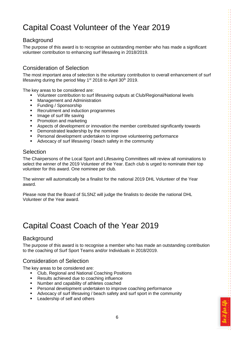# <span id="page-5-0"></span>Capital Coast Volunteer of the Year 2019

### <span id="page-5-1"></span>**Background**

The purpose of this award is to recognise an outstanding member who has made a significant volunteer contribution to enhancing surf lifesaving in 2018/2019.

### <span id="page-5-2"></span>Consideration of Selection

The most important area of selection is the voluntary contribution to overall enhancement of surf lifesaving during the period May  $1<sup>st</sup>$  2018 to April 30<sup>th</sup> 2019.

The key areas to be considered are:

- Volunteer contribution to surf lifesaving outputs at Club/Regional/National levels
- Management and Administration
- Funding / Sponsorship
- **Recruitment and induction programmes**
- **IMage of surf life saving**
- Promotion and marketing
- Aspects of development or innovation the member contributed significantly towards<br>
Demonstrated leadership by the nominee
- Demonstrated leadership by the nominee
- Personal development undertaken to improve volunteering performance
- Advocacy of surf lifesaving / beach safety in the community

#### <span id="page-5-3"></span>Selection

The Chairpersons of the Local Sport and Lifesaving Committees will review all nominations to select the winner of the 2019 Volunteer of the Year. Each club is urged to nominate their top volunteer for this award. One nominee per club.

The winner will automatically be a finalist for the national 2019 DHL Volunteer of the Year award.

Please note that the Board of SLSNZ will judge the finalists to decide the national DHL Volunteer of the Year award.

# <span id="page-5-4"></span>Capital Coast Coach of the Year 2019

#### <span id="page-5-5"></span>**Background**

The purpose of this award is to recognise a member who has made an outstanding contribution to the coaching of Surf Sport Teams and/or Individuals in 2018/2019.

#### <span id="page-5-6"></span>Consideration of Selection

The key areas to be considered are:

- Club, Regional and National Coaching Positions
- Results achieved due to coaching influence
- Number and capability of athletes coached
- Personal development undertaken to improve coaching performance
- Advocacy of surf lifesaving / beach safety and surf sport in the community
- **Leadership of self and others**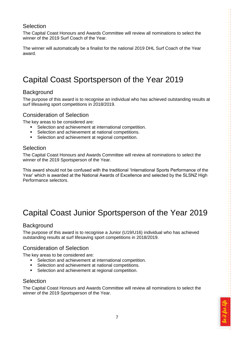### <span id="page-6-0"></span>Selection

The Capital Coast Honours and Awards Committee will review all nominations to select the winner of the 2019 Surf Coach of the Year.

<span id="page-6-1"></span>The winner will automatically be a finalist for the national 2019 DHL Surf Coach of the Year award.

# Capital Coast Sportsperson of the Year 2019

### <span id="page-6-2"></span>**Background**

The purpose of this award is to recognise an individual who has achieved outstanding results at surf lifesaving sport competitions in 2018/2019.

### <span id="page-6-3"></span>Consideration of Selection

The key areas to be considered are:

- Selection and achievement at international competition.
- **Selection and achievement at national competitions.**
- Selection and achievement at regional competition.

#### <span id="page-6-4"></span>Selection

The Capital Coast Honours and Awards Committee will review all nominations to select the winner of the 2019 Sportsperson of the Year.

This award should not be confused with the traditional 'International Sports Performance of the Year' which is awarded at the National Awards of Excellence and selected by the SLSNZ High Performance selectors.

# <span id="page-6-5"></span>Capital Coast Junior Sportsperson of the Year 2019

#### <span id="page-6-6"></span>**Background**

The purpose of this award is to recognise a Junior (U19/U16) individual who has achieved outstanding results at surf lifesaving sport competitions in 2018/2019.

#### <span id="page-6-7"></span>Consideration of Selection

The key areas to be considered are:

- Selection and achievement at international competition.
- Selection and achievement at national competitions.
- **Selection and achievement at regional competition.**

#### <span id="page-6-8"></span>**Selection**

The Capital Coast Honours and Awards Committee will review all nominations to select the winner of the 2019 Sportsperson of the Year.

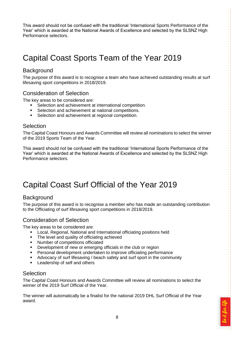This award should not be confused with the traditional 'International Sports Performance of the Year' which is awarded at the National Awards of Excellence and selected by the SLSNZ High Performance selectors.

# <span id="page-7-0"></span>Capital Coast Sports Team of the Year 2019

### <span id="page-7-1"></span>**Background**

The purpose of this award is to recognise a team who have achieved outstanding results at surf lifesaving sport competitions in 2018/2019.

#### <span id="page-7-2"></span>Consideration of Selection

The key areas to be considered are:

- Selection and achievement at international competition.
- Selection and achievement at national competitions.
- Selection and achievement at regional competition.

#### <span id="page-7-3"></span>**Selection**

The Capital Coast Honours and Awards Committee will review all nominations to select the winner of the 2019 Sports Team of the Year.

<span id="page-7-4"></span>This award should not be confused with the traditional 'International Sports Performance of the Year' which is awarded at the National Awards of Excellence and selected by the SLSNZ High Performance selectors.

# Capital Coast Surf Official of the Year 2019

#### <span id="page-7-5"></span>**Background**

The purpose of this award is to recognise a member who has made an outstanding contribution to the Officiating of surf lifesaving sport competitions in 2018/2019.

#### <span id="page-7-6"></span>Consideration of Selection

The key areas to be considered are:

- Local, Regional, National and International officiating positions held
- The level and quality of officiating achieved
- **Number of competitions officiated**
- **Development of new or emerging officials in the club or region**
- Personal development undertaken to improve officiating performance
- Advocacy of surf lifesaving / beach safety and surf sport in the community
- **Leadership of self and others**

#### <span id="page-7-7"></span>Selection

The Capital Coast Honours and Awards Committee will review all nominations to select the winner of the 2019 Surf Official of the Year.

The winner will automatically be a finalist for the national 2019 DHL Surf Official of the Year award.